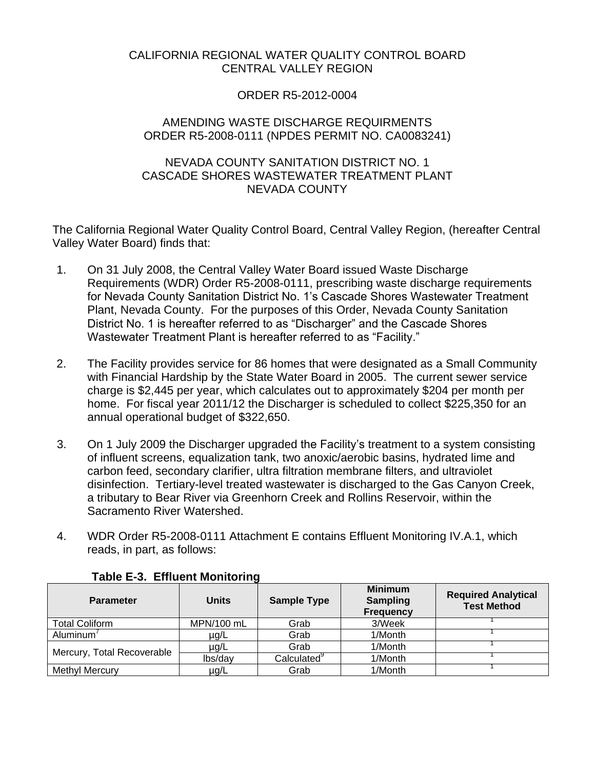# CALIFORNIA REGIONAL WATER QUALITY CONTROL BOARD CENTRAL VALLEY REGION

## ORDER R5-2012-0004

## AMENDING WASTE DISCHARGE REQUIRMENTS ORDER R5-2008-0111 (NPDES PERMIT NO. CA0083241)

#### NEVADA COUNTY SANITATION DISTRICT NO. 1 CASCADE SHORES WASTEWATER TREATMENT PLANT NEVADA COUNTY

The California Regional Water Quality Control Board, Central Valley Region, (hereafter Central Valley Water Board) finds that:

- 1. On 31 July 2008, the Central Valley Water Board issued Waste Discharge Requirements (WDR) Order R5-2008-0111, prescribing waste discharge requirements for Nevada County Sanitation District No. 1's Cascade Shores Wastewater Treatment Plant, Nevada County. For the purposes of this Order, Nevada County Sanitation District No. 1 is hereafter referred to as "Discharger" and the Cascade Shores Wastewater Treatment Plant is hereafter referred to as "Facility."
- 2. The Facility provides service for 86 homes that were designated as a Small Community with Financial Hardship by the State Water Board in 2005. The current sewer service charge is \$2,445 per year, which calculates out to approximately \$204 per month per home. For fiscal year 2011/12 the Discharger is scheduled to collect \$225,350 for an annual operational budget of \$322,650.
- 3. On 1 July 2009 the Discharger upgraded the Facility's treatment to a system consisting of influent screens, equalization tank, two anoxic/aerobic basins, hydrated lime and carbon feed, secondary clarifier, ultra filtration membrane filters, and ultraviolet disinfection. Tertiary-level treated wastewater is discharged to the Gas Canyon Creek, a tributary to Bear River via Greenhorn Creek and Rollins Reservoir, within the Sacramento River Watershed.
- 4. WDR Order R5-2008-0111 Attachment E contains Effluent Monitoring IV.A.1, which reads, in part, as follows:

| <b>Parameter</b>           | <b>Units</b> | <b>Sample Type</b>      | <b>Minimum</b><br><b>Sampling</b><br><b>Frequency</b> | <b>Required Analytical</b><br><b>Test Method</b> |
|----------------------------|--------------|-------------------------|-------------------------------------------------------|--------------------------------------------------|
| <b>Total Coliform</b>      | MPN/100 mL   | Grab                    | 3/Week                                                |                                                  |
| Aluminum <sup>'</sup>      | µg/L         | Grab                    | 1/Month                                               |                                                  |
| Mercury, Total Recoverable | $\mu$ g/L    | Grab                    | 1/Month                                               |                                                  |
|                            | lbs/day      | Calculated <sup>9</sup> | 1/Month                                               |                                                  |
| Methyl Mercury             | $\mu$ g/L    | Grab                    | 1/Month                                               |                                                  |

## **Table E-3. Effluent Monitoring**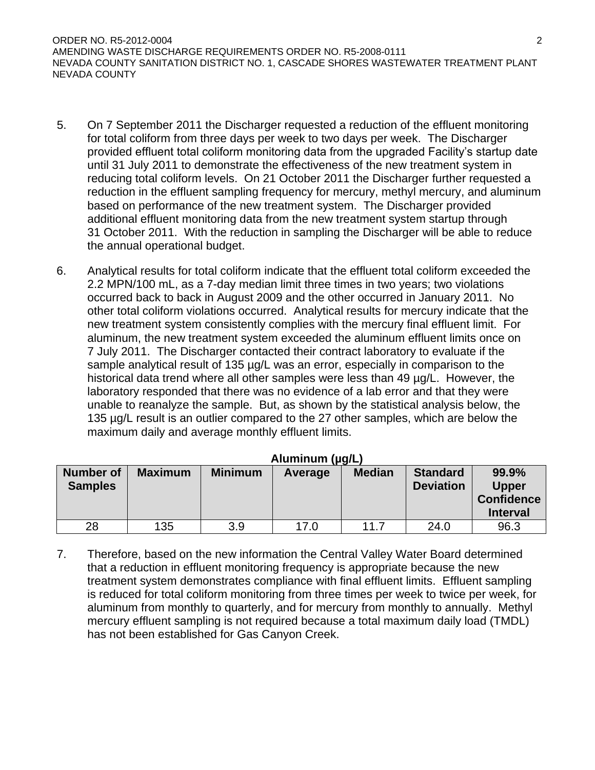ORDER NO. R5-2012-0004 2 AMENDING WASTE DISCHARGE REQUIREMENTS ORDER NO. R5-2008-0111 NEVADA COUNTY SANITATION DISTRICT NO. 1, CASCADE SHORES WASTEWATER TREATMENT PLANT NEVADA COUNTY

- 5. On 7 September 2011 the Discharger requested a reduction of the effluent monitoring for total coliform from three days per week to two days per week. The Discharger provided effluent total coliform monitoring data from the upgraded Facility's startup date until 31 July 2011 to demonstrate the effectiveness of the new treatment system in reducing total coliform levels. On 21 October 2011 the Discharger further requested a reduction in the effluent sampling frequency for mercury, methyl mercury, and aluminum based on performance of the new treatment system. The Discharger provided additional effluent monitoring data from the new treatment system startup through 31 October 2011. With the reduction in sampling the Discharger will be able to reduce the annual operational budget.
- 6. Analytical results for total coliform indicate that the effluent total coliform exceeded the 2.2 MPN/100 mL, as a 7-day median limit three times in two years; two violations occurred back to back in August 2009 and the other occurred in January 2011. No other total coliform violations occurred. Analytical results for mercury indicate that the new treatment system consistently complies with the mercury final effluent limit. For aluminum, the new treatment system exceeded the aluminum effluent limits once on 7 July 2011.The Discharger contacted their contract laboratory to evaluate if the sample analytical result of 135 µg/L was an error, especially in comparison to the historical data trend where all other samples were less than 49 µg/L. However, the laboratory responded that there was no evidence of a lab error and that they were unable to reanalyze the sample. But, as shown by the statistical analysis below, the 135 µg/L result is an outlier compared to the 27 other samples, which are below the maximum daily and average monthly effluent limits.

| <b>Number of</b><br><b>Samples</b> | <b>Maximum</b> | <b>Minimum</b> | Average | <b>Median</b> | <b>Standard</b><br><b>Deviation</b> | 99.9%<br><b>Upper</b><br><b>Confidence</b><br><b>Interval</b> |
|------------------------------------|----------------|----------------|---------|---------------|-------------------------------------|---------------------------------------------------------------|
| 28                                 | 135            | 3.9            | 17.0    | 11.7          | 24.0                                | 96.3                                                          |

## **Aluminum (µg/L)**

7. Therefore, based on the new information the Central Valley Water Board determined that a reduction in effluent monitoring frequency is appropriate because the new treatment system demonstrates compliance with final effluent limits. Effluent sampling is reduced for total coliform monitoring from three times per week to twice per week, for aluminum from monthly to quarterly, and for mercury from monthly to annually. Methyl mercury effluent sampling is not required because a total maximum daily load (TMDL) has not been established for Gas Canyon Creek.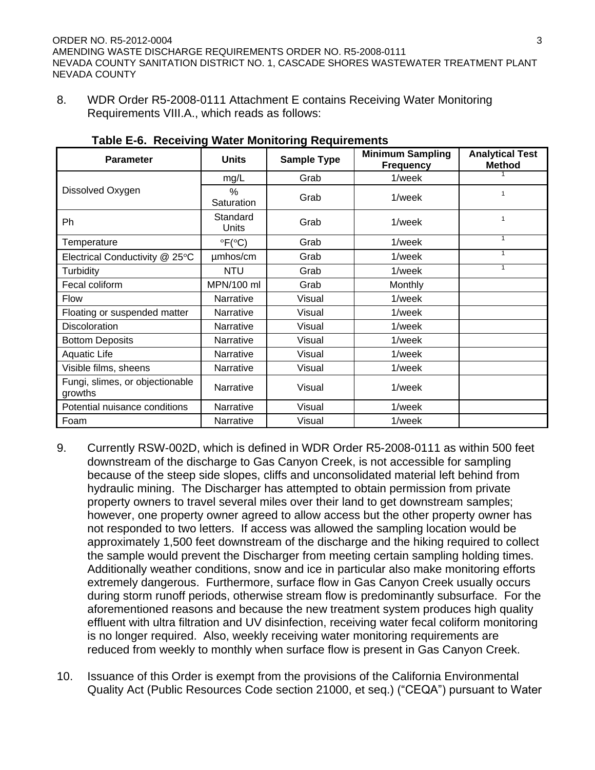8. WDR Order R5-2008-0111 Attachment E contains Receiving Water Monitoring Requirements VIII.A., which reads as follows:

| <b>Parameter</b>                           | <b>Units</b>                       | <b>Sample Type</b> | <b>Minimum Sampling</b><br><b>Frequency</b> | <b>Analytical Test</b><br><b>Method</b> |
|--------------------------------------------|------------------------------------|--------------------|---------------------------------------------|-----------------------------------------|
|                                            | mg/L                               | Grab               | 1/week                                      |                                         |
| Dissolved Oxygen                           | $\frac{0}{0}$<br>Saturation        | Grab               | 1/week                                      | 1                                       |
| Ph                                         | Standard<br>Units                  | Grab               | 1/week                                      | 1                                       |
| Temperature                                | $\mathrm{PFC}^{\circ}(\mathrm{C})$ | Grab               | 1/week                                      | 1                                       |
| Electrical Conductivity @ 25°C             | umhos/cm                           | Grab               | 1/week                                      | $\mathbf{1}$                            |
| Turbidity                                  | <b>NTU</b>                         | Grab               | 1/week                                      | 1                                       |
| Fecal coliform                             | MPN/100 ml                         | Grab               | Monthly                                     |                                         |
| <b>Flow</b>                                | Narrative                          | Visual             | 1/week                                      |                                         |
| Floating or suspended matter               | Narrative                          | Visual             | 1/week                                      |                                         |
| <b>Discoloration</b>                       | Narrative                          | Visual             | 1/week                                      |                                         |
| <b>Bottom Deposits</b>                     | Narrative                          | Visual             | 1/week                                      |                                         |
| <b>Aquatic Life</b>                        | Narrative                          | Visual             | 1/week                                      |                                         |
| Visible films, sheens                      | Narrative                          | Visual             | 1/week                                      |                                         |
| Fungi, slimes, or objectionable<br>growths | Narrative                          | Visual             | 1/week                                      |                                         |
| Potential nuisance conditions              | Narrative                          | Visual             | 1/week                                      |                                         |
| Foam                                       | Narrative                          | Visual             | 1/week                                      |                                         |

#### **Table E-6. Receiving Water Monitoring Requirements**

- 9. Currently RSW-002D, which is defined in WDR Order R5-2008-0111 as within 500 feet downstream of the discharge to Gas Canyon Creek, is not accessible for sampling because of the steep side slopes, cliffs and unconsolidated material left behind from hydraulic mining. The Discharger has attempted to obtain permission from private property owners to travel several miles over their land to get downstream samples; however, one property owner agreed to allow access but the other property owner has not responded to two letters. If access was allowed the sampling location would be approximately 1,500 feet downstream of the discharge and the hiking required to collect the sample would prevent the Discharger from meeting certain sampling holding times. Additionally weather conditions, snow and ice in particular also make monitoring efforts extremely dangerous. Furthermore, surface flow in Gas Canyon Creek usually occurs during storm runoff periods, otherwise stream flow is predominantly subsurface. For the aforementioned reasons and because the new treatment system produces high quality effluent with ultra filtration and UV disinfection, receiving water fecal coliform monitoring is no longer required. Also, weekly receiving water monitoring requirements are reduced from weekly to monthly when surface flow is present in Gas Canyon Creek.
- 10. Issuance of this Order is exempt from the provisions of the California Environmental Quality Act (Public Resources Code section 21000, et seq.) ("CEQA") pursuant to Water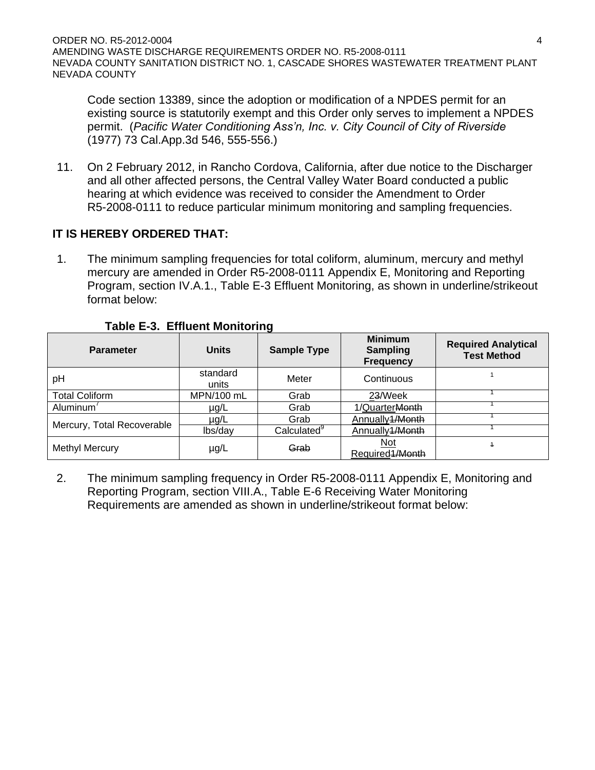Code section 13389, since the adoption or modification of a NPDES permit for an existing source is statutorily exempt and this Order only serves to implement a NPDES permit. (*Pacific Water Conditioning Ass'n, Inc. v. City Council of City of Riverside*  (1977) 73 Cal.App.3d 546, 555-556.)

11. On 2 February 2012, in Rancho Cordova, California, after due notice to the Discharger and all other affected persons, the Central Valley Water Board conducted a public hearing at which evidence was received to consider the Amendment to Order R5-2008-0111 to reduce particular minimum monitoring and sampling frequencies.

# **IT IS HEREBY ORDERED THAT:**

1. The minimum sampling frequencies for total coliform, aluminum, mercury and methyl mercury are amended in Order R5-2008-0111 Appendix E, Monitoring and Reporting Program, section IV.A.1., Table E-3 Effluent Monitoring, as shown in underline/strikeout format below:

| <b>Parameter</b>           | <b>Units</b>      | <b>Sample Type</b> | <b>Minimum</b><br><b>Sampling</b><br><b>Frequency</b> | <b>Required Analytical</b><br><b>Test Method</b> |
|----------------------------|-------------------|--------------------|-------------------------------------------------------|--------------------------------------------------|
| pH                         | standard<br>units | Meter              | Continuous                                            |                                                  |
| <b>Total Coliform</b>      | MPN/100 mL        | Grab               | 23/Week                                               |                                                  |
| Aluminum <sup>'</sup>      | $\mu$ g/L         | Grab               | 1/QuarterMonth                                        |                                                  |
| Mercury, Total Recoverable | $\mu$ g/L         | Grab               | Annually 1/Month                                      |                                                  |
|                            | lbs/day           | Calculated         | Annually1/Month                                       |                                                  |
| <b>Methyl Mercury</b>      | $\mu$ g/L         | Grab               | Not<br>Required 1/Month                               | 4                                                |

## **Table E-3. Effluent Monitoring**

2. The minimum sampling frequency in Order R5-2008-0111 Appendix E, Monitoring and Reporting Program, section VIII.A., Table E-6 Receiving Water Monitoring Requirements are amended as shown in underline/strikeout format below: